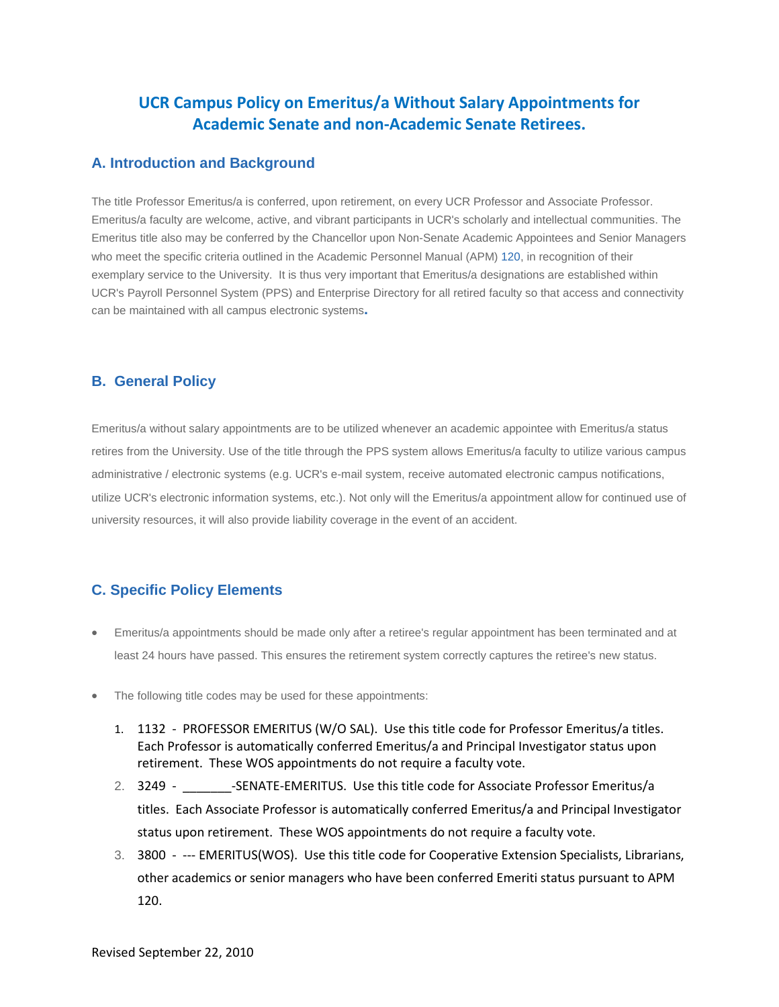# **UCR Campus Policy on Emeritus/a Without Salary Appointments for Academic Senate and non-Academic Senate Retirees.**

#### **A. Introduction and Background**

The title Professor Emeritus/a is conferred, upon retirement, on every UCR Professor and Associate Professor. Emeritus/a faculty are welcome, active, and vibrant participants in UCR's scholarly and intellectual communities. The Emeritus title also may be conferred by the Chancellor upon Non-Senate Academic Appointees and Senior Managers who meet the specific criteria outlined in the Academic Personnel Manual (APM) [120,](http://www.ucop.edu/acadadv/acadpers/apm/apm-120.pdf) in recognition of their exemplary service to the University. It is thus very important that Emeritus/a designations are established within UCR's Payroll Personnel System (PPS) and Enterprise Directory for all retired faculty so that access and connectivity can be maintained with all campus electronic systems**.** 

## **B. General Policy**

Emeritus/a without salary appointments are to be utilized whenever an academic appointee with Emeritus/a status retires from the University. Use of the title through the PPS system allows Emeritus/a faculty to utilize various campus administrative / electronic systems (e.g. UCR's e-mail system, receive automated electronic campus notifications, utilize UCR's electronic information systems, etc.). Not only will the Emeritus/a appointment allow for continued use of university resources, it will also provide liability coverage in the event of an accident.

## **C. Specific Policy Elements**

- Emeritus/a appointments should be made only after a retiree's regular appointment has been terminated and at least 24 hours have passed. This ensures the retirement system correctly captures the retiree's new status.
- The following title codes may be used for these appointments:
	- 1. 1132 PROFESSOR EMERITUS (W/O SAL). Use this title code for Professor Emeritus/a titles. Each Professor is automatically conferred Emeritus/a and Principal Investigator status upon retirement. These WOS appointments do not require a faculty vote.
	- 2. 3249 SENATE-EMERITUS. Use this title code for Associate Professor Emeritus/a titles. Each Associate Professor is automatically conferred Emeritus/a and Principal Investigator status upon retirement. These WOS appointments do not require a faculty vote.
	- 3. 3800 --- EMERITUS(WOS). Use this title code for Cooperative Extension Specialists, Librarians, other academics or senior managers who have been conferred Emeriti status pursuant to APM 120.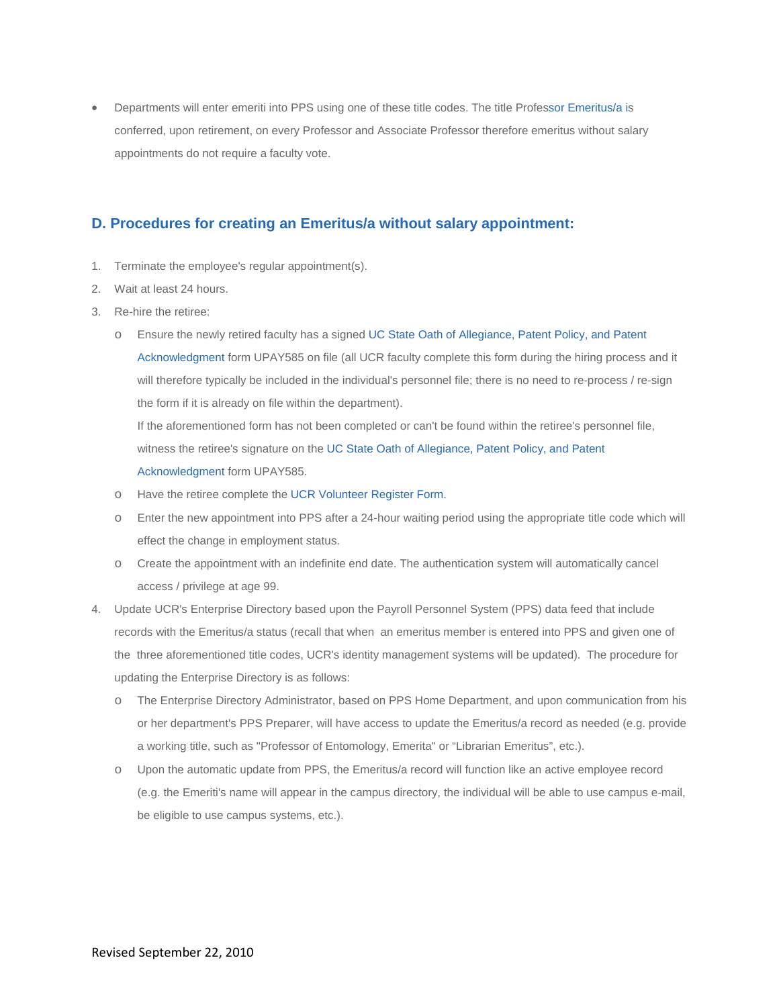• Departments will enter emeriti into PPS using one of these title codes. The title Professor Emeritus/a is conferred, upon retirement, on every Professor and Associate Professor therefore emeritus without salary appointments do not require a faculty vote.

#### **D. Procedures for creating an Emeritus/a without salary appointment:**

- 1. Terminate the employee's regular appointment(s).
- 2. Wait at least 24 hours.
- 3. Re-hire the retiree:
	- o Ensure the newly retired faculty has a signe[d UC State Oath of Allegiance, Patent Policy, and Patent](http://www.ucop.edu/payroll/forms/upay585.pdf)  [Acknowledgment](http://www.ucop.edu/payroll/forms/upay585.pdf) form UPAY585 on file (all UCR faculty complete this form during the hiring process and it will therefore typically be included in the individual's personnel file; there is no need to re-process / re-sign the form if it is already on file within the department).

If the aforementioned form has not been completed or can't be found within the retiree's personnel file, witness the retiree's signature on the [UC State Oath of Allegiance, Patent Policy, and Patent](http://www.ucop.edu/payroll/forms/upay585.pdf)  [Acknowledgment](http://www.ucop.edu/payroll/forms/upay585.pdf) form UPAY585.

- o Have the retiree complete th[e UCR Volunteer Register Form.](http://humanresources.ucr.edu/Forms/VolunteerRegisterForm.doc)
- o Enter the new appointment into PPS after a 24-hour waiting period using the appropriate title code which will effect the change in employment status.
- o Create the appointment with an indefinite end date. The authentication system will automatically cancel access / privilege at age 99.
- 4. Update UCR's Enterprise Directory based upon the Payroll Personnel System (PPS) data feed that include records with the Emeritus/a status (recall that when an emeritus member is entered into PPS and given one of the three aforementioned title codes, UCR's identity management systems will be updated). The procedure for updating the Enterprise Directory is as follows:
	- o The Enterprise Directory Administrator, based on PPS Home Department, and upon communication from his or her department's PPS Preparer, will have access to update the Emeritus/a record as needed (e.g. provide a working title, such as "Professor of Entomology, Emerita" or "Librarian Emeritus", etc.).
	- o Upon the automatic update from PPS, the Emeritus/a record will function like an active employee record (e.g. the Emeriti's name will appear in the campus directory, the individual will be able to use campus e-mail, be eligible to use campus systems, etc.).